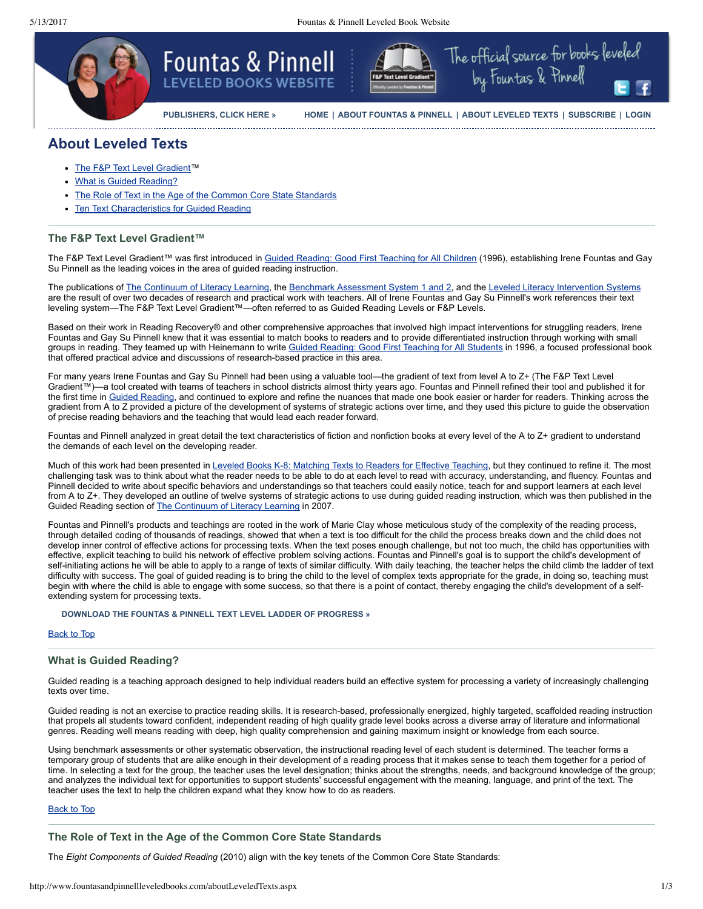

**[PUBLISHERS, CLICK HERE »](http://www.fountasandpinnellleveledbooks.com/publishers.aspx) [HOME](http://www.fountasandpinnellleveledbooks.com/default.aspx) | [ABOUT FOUNTAS & PINNELL](http://www.fountasandpinnellleveledbooks.com/aboutFountasPinnell.aspx) | [ABOUT LEVELED TEXTS](http://www.fountasandpinnellleveledbooks.com/aboutLeveledTexts.aspx) | [SUBSCRIBE](http://www.heinemann.com/products/LBW002119.aspx) | [LOGIN](http://www.fountasandpinnellleveledbooks.com/login.aspx)**

The official source for books leveled

by Fountas & Pinnell

# **About Leveled Texts**

- The F&P Text Level [Gradient](#page-0-0)™
- What is Guided [Reading?](#page-0-1)
- The Role of Text in the Age of the Common Core State [Standards](#page-0-2)
- **Ten Text [Characteristics](#page-1-0) for Guided Reading**

## <span id="page-0-0"></span>**The F&P Text Level Gradient™**

The F&P Text Level Gradient™ was first introduced in Guided Reading: Good First [Teaching](http://www.heinemann.com/products/08863.aspx) for All Children (1996), establishing Irene Fountas and Gay Su Pinnell as the leading voices in the area of guided reading instruction.

The publications of The [Continuum](http://www.heinemann.com/products/E02880.aspx) of Literacy Learning, the Benchmark [Assessment](http://www.heinemann.com/fountasandpinnell/BAS2_Overview.aspx) System 1 and 2, and the Leveled Literacy [Intervention](http://www.heinemann.com/fountasandpinnell/lli_Overview.aspx) Systems are the result of over two decades of research and practical work with teachers. All of Irene Fountas and Gay Su Pinnell's work references their text leveling system—The F&P Text Level Gradient™—often referred to as Guided Reading Levels or F&P Levels.

Based on their work in Reading Recovery® and other comprehensive approaches that involved high impact interventions for struggling readers, Irene Fountas and Gay Su Pinnell knew that it was essential to match books to readers and to provide differentiated instruction through working with small groups in reading. They teamed up with Heinemann to write Guided Reading: Good First [Teaching](http://www.heinemann.com/products/08863.aspx) for All Students in 1996, a focused professional book that offered practical advice and discussions of research-based practice in this area.

For many years Irene Fountas and Gay Su Pinnell had been using a valuable tool—the gradient of text from level A to Z+ (The F&P Text Level Gradient™)—a tool created with teams of teachers in school districts almost thirty years ago. Fountas and Pinnell refined their tool and published it for the first time in Guided [Reading,](http://www.heinemann.com/products/08863.aspx) and continued to explore and refine the nuances that made one book easier or harder for readers. Thinking across the gradient from A to Z provided a picture of the development of systems of strategic actions over time, and they used this picture to guide the observation of precise reading behaviors and the teaching that would lead each reader forward.

Fountas and Pinnell analyzed in great detail the text characteristics of fiction and nonfiction books at every level of the A to Z+ gradient to understand the demands of each level on the developing reader.

Much of this work had been presented in Leveled Books K-8: [Matching](http://www.heinemann.com/products/E00818.aspx) Texts to Readers for Effective Teaching, but they continued to refine it. The most challenging task was to think about what the reader needs to be able to do at each level to read with accuracy, understanding, and fluency. Fountas and Pinnell decided to write about specific behaviors and understandings so that teachers could easily notice, teach for and support learners at each level from A to Z+. They developed an outline of twelve systems of strategic actions to use during guided reading instruction, which was then published in the Guided Reading section of The [Continuum](http://www.heinemann.com/products/E02880.aspx) of Literacy Learning in 2007.

Fountas and Pinnell's products and teachings are rooted in the work of Marie Clay whose meticulous study of the complexity of the reading process, through detailed coding of thousands of readings, showed that when a text is too difficult for the child the process breaks down and the child does not develop inner control of effective actions for processing texts. When the text poses enough challenge, but not too much, the child has opportunities with effective, explicit teaching to build his network of effective problem solving actions. Fountas and Pinnell's goal is to support the child's development of self-initiating actions he will be able to apply to a range of texts of similar difficulty. With daily teaching, the teacher helps the child climb the ladder of text difficulty with success. The goal of guided reading is to bring the child to the level of complex texts appropriate for the grade, in doing so, teaching must begin with where the child is able to engage with some success, so that there is a point of contact, thereby engaging the child's development of a selfextending system for processing texts.

#### **[DOWNLOAD THE FOUNTAS & PINNELL TEXT LEVEL LADDER OF PROGRESS »](http://www.heinemann.com/fountasandpinnell/handouts/TextLevelLadderOfProgress.pdf)**

#### Back to Top

## <span id="page-0-1"></span>**What is Guided Reading?**

Guided reading is a teaching approach designed to help individual readers build an effective system for processing a variety of increasingly challenging texts over time.

Guided reading is not an exercise to practice reading skills. It is research-based, professionally energized, highly targeted, scaffolded reading instruction that propels all students toward confident, independent reading of high quality grade level books across a diverse array of literature and informational genres. Reading well means reading with deep, high quality comprehension and gaining maximum insight or knowledge from each source.

Using benchmark assessments or other systematic observation, the instructional reading level of each student is determined. The teacher forms a temporary group of students that are alike enough in their development of a reading process that it makes sense to teach them together for a period of time. In selecting a text for the group, the teacher uses the level designation; thinks about the strengths, needs, and background knowledge of the group; and analyzes the individual text for opportunities to support students' successful engagement with the meaning, language, and print of the text. The teacher uses the text to help the children expand what they know how to do as readers.

#### Back to Top

## <span id="page-0-2"></span>**The Role of Text in the Age of the Common Core State Standards**

The *Eight Components of Guided Reading* (2010) align with the key tenets of the Common Core State Standards: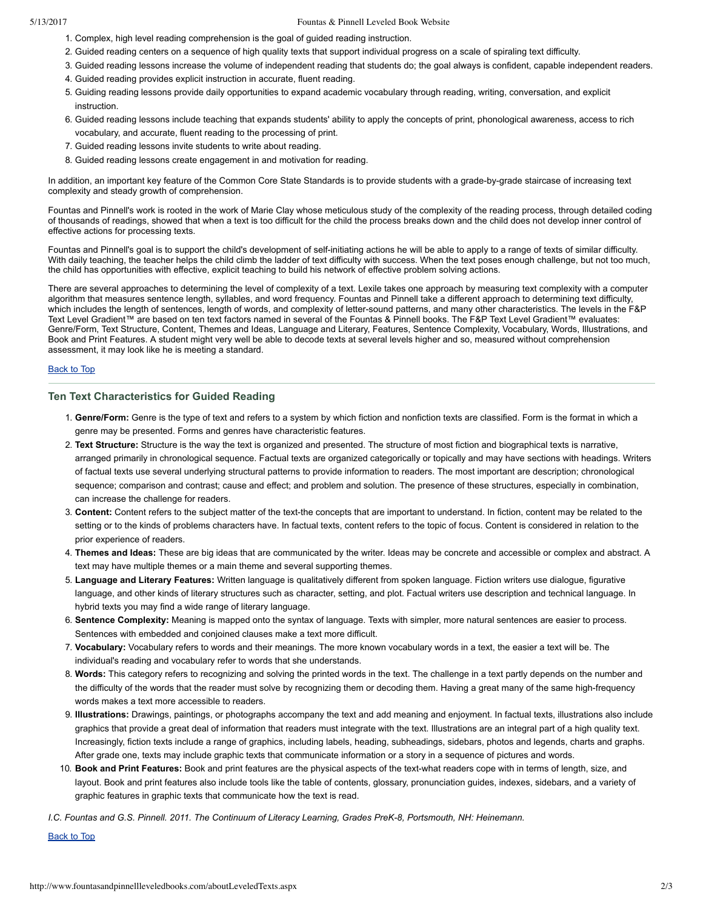#### 5/13/2017 Fountas & Pinnell Leveled Book Website

- 1. Complex, high level reading comprehension is the goal of guided reading instruction.
- 2. Guided reading centers on a sequence of high quality texts that support individual progress on a scale of spiraling text difficulty.
- 3. Guided reading lessons increase the volume of independent reading that students do; the goal always is confident, capable independent readers.
	- 4. Guided reading provides explicit instruction in accurate, fluent reading.
	- 5. Guiding reading lessons provide daily opportunities to expand academic vocabulary through reading, writing, conversation, and explicit instruction.
- 6. Guided reading lessons include teaching that expands students' ability to apply the concepts of print, phonological awareness, access to rich vocabulary, and accurate, fluent reading to the processing of print.
- 7. Guided reading lessons invite students to write about reading.
- 8. Guided reading lessons create engagement in and motivation for reading.

In addition, an important key feature of the Common Core State Standards is to provide students with a grade-by-grade staircase of increasing text complexity and steady growth of comprehension.

Fountas and Pinnell's work is rooted in the work of Marie Clay whose meticulous study of the complexity of the reading process, through detailed coding of thousands of readings, showed that when a text is too difficult for the child the process breaks down and the child does not develop inner control of effective actions for processing texts.

Fountas and Pinnell's goal is to support the child's development of self-initiating actions he will be able to apply to a range of texts of similar difficulty. With daily teaching, the teacher helps the child climb the ladder of text difficulty with success. When the text poses enough challenge, but not too much, the child has opportunities with effective, explicit teaching to build his network of effective problem solving actions.

There are several approaches to determining the level of complexity of a text. Lexile takes one approach by measuring text complexity with a computer algorithm that measures sentence length, syllables, and word frequency. Fountas and Pinnell take a different approach to determining text difficulty, which includes the length of sentences, length of words, and complexity of letter-sound patterns, and many other characteristics. The levels in the F&P Text Level Gradient™ are based on ten text factors named in several of the Fountas & Pinnell books. The F&P Text Level Gradient™ evaluates: Genre/Form, Text Structure, Content, Themes and Ideas, Language and Literary, Features, Sentence Complexity, Vocabulary, Words, Illustrations, and Book and Print Features. A student might very well be able to decode texts at several levels higher and so, measured without comprehension assessment, it may look like he is meeting a standard.

### Back to Top

## <span id="page-1-0"></span>**Ten Text Characteristics for Guided Reading**

- 1. **Genre/Form:** Genre is the type of text and refers to a system by which fiction and nonfiction texts are classified. Form is the format in which a genre may be presented. Forms and genres have characteristic features.
- 2. **Text Structure:** Structure is the way the text is organized and presented. The structure of most fiction and biographical texts is narrative, arranged primarily in chronological sequence. Factual texts are organized categorically or topically and may have sections with headings. Writers of factual texts use several underlying structural patterns to provide information to readers. The most important are description; chronological sequence; comparison and contrast; cause and effect; and problem and solution. The presence of these structures, especially in combination, can increase the challenge for readers.
- 3. Content: Content refers to the subject matter of the text-the concepts that are important to understand. In fiction, content may be related to the setting or to the kinds of problems characters have. In factual texts, content refers to the topic of focus. Content is considered in relation to the prior experience of readers.
- 4. **Themes and Ideas:** These are big ideas that are communicated by the writer. Ideas may be concrete and accessible or complex and abstract. A text may have multiple themes or a main theme and several supporting themes.
- 5. **Language and Literary Features:** Written language is qualitatively different from spoken language. Fiction writers use dialogue, figurative language, and other kinds of literary structures such as character, setting, and plot. Factual writers use description and technical language. In hybrid texts you may find a wide range of literary language.
- 6. **Sentence Complexity:** Meaning is mapped onto the syntax of language. Texts with simpler, more natural sentences are easier to process. Sentences with embedded and conjoined clauses make a text more difficult.
- 7. **Vocabulary:** Vocabulary refers to words and their meanings. The more known vocabulary words in a text, the easier a text will be. The individual's reading and vocabulary refer to words that she understands.
- 8. **Words:** This category refers to recognizing and solving the printed words in the text. The challenge in a text partly depends on the number and the difficulty of the words that the reader must solve by recognizing them or decoding them. Having a great many of the same high-frequency words makes a text more accessible to readers.
- 9. **Illustrations:** Drawings, paintings, or photographs accompany the text and add meaning and enjoyment. In factual texts, illustrations also include graphics that provide a great deal of information that readers must integrate with the text. Illustrations are an integral part of a high quality text. Increasingly, fiction texts include a range of graphics, including labels, heading, subheadings, sidebars, photos and legends, charts and graphs. After grade one, texts may include graphic texts that communicate information or a story in a sequence of pictures and words.
- 10. **Book and Print Features:** Book and print features are the physical aspects of the textwhat readers cope with in terms of length, size, and layout. Book and print features also include tools like the table of contents, glossary, pronunciation guides, indexes, sidebars, and a variety of graphic features in graphic texts that communicate how the text is read.

I.C. Fountas and G.S. Pinnell. 2011. The Continuum of Literacy Learning, Grades PreK-8, Portsmouth, NH: Heinemann.

Back to Top